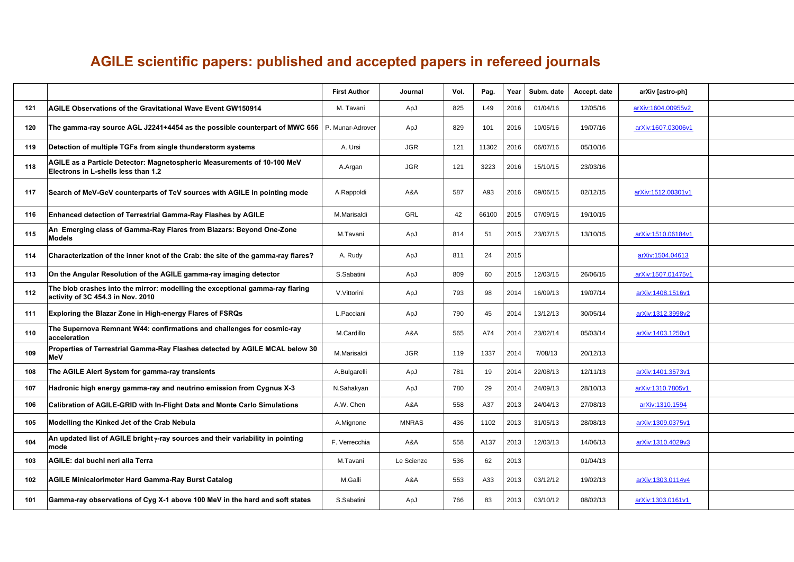## **AGILE scientific papers: published and accepted papers in refereed journals**

|     |                                                                                                                    | <b>First Author</b> | Journal      | Vol. | Pag.  | Year | Subm. date | Accept. date | arXiv [astro-ph]   |
|-----|--------------------------------------------------------------------------------------------------------------------|---------------------|--------------|------|-------|------|------------|--------------|--------------------|
| 121 | AGILE Observations of the Gravitational Wave Event GW150914                                                        | M. Tavani           | ApJ          | 825  | L49   | 2016 | 01/04/16   | 12/05/16     | arXiv:1604.00955v2 |
| 120 | The gamma-ray source AGL J2241+4454 as the possible counterpart of MWC 656   P. Munar-Adrover                      |                     | ApJ          | 829  | 101   | 2016 | 10/05/16   | 19/07/16     | arXiv:1607.03006v1 |
| 119 | Detection of multiple TGFs from single thunderstorm systems                                                        | A. Ursi             | <b>JGR</b>   | 121  | 11302 | 2016 | 06/07/16   | 05/10/16     |                    |
| 118 | AGILE as a Particle Detector: Magnetospheric Measurements of 10-100 MeV<br>Electrons in L-shells less than 1.2     | A.Argan             | <b>JGR</b>   | 121  | 3223  | 2016 | 15/10/15   | 23/03/16     |                    |
| 117 | Search of MeV-GeV counterparts of TeV sources with AGILE in pointing mode                                          | A.Rappoldi          | A&A          | 587  | A93   | 2016 | 09/06/15   | 02/12/15     | arXiv:1512.00301v1 |
| 116 | <b>Enhanced detection of Terrestrial Gamma-Ray Flashes by AGILE</b>                                                | M.Marisaldi         | GRL          | 42   | 66100 | 2015 | 07/09/15   | 19/10/15     |                    |
| 115 | An Emerging class of Gamma-Ray Flares from Blazars: Beyond One-Zone<br><b>Models</b>                               | M.Tavani            | ApJ          | 814  | 51    | 2015 | 23/07/15   | 13/10/15     | arXiv:1510.06184v1 |
| 114 | Characterization of the inner knot of the Crab: the site of the gamma-ray flares?                                  | A. Rudy             | ApJ          | 811  | 24    | 2015 |            |              | arXiv:1504.04613   |
| 113 | On the Angular Resolution of the AGILE gamma-ray imaging detector                                                  | S.Sabatini          | ApJ          | 809  | 60    | 2015 | 12/03/15   | 26/06/15     | arXiv:1507.01475v1 |
| 112 | The blob crashes into the mirror: modelling the exceptional gamma-ray flaring<br>activity of 3C 454.3 in Nov. 2010 | V.Vittorini         | ApJ          | 793  | 98    | 2014 | 16/09/13   | 19/07/14     | arXiv:1408.1516v1  |
| 111 | Exploring the Blazar Zone in High-energy Flares of FSRQs                                                           | L.Pacciani          | ApJ          | 790  | 45    | 2014 | 13/12/13   | 30/05/14     | arXiv:1312.3998v2  |
| 110 | The Supernova Remnant W44: confirmations and challenges for cosmic-ray<br>acceleration                             | M.Cardillo          | A&A          | 565  | A74   | 2014 | 23/02/14   | 05/03/14     | arXiv:1403.1250v1  |
| 109 | Properties of Terrestrial Gamma-Ray Flashes detected by AGILE MCAL below 30<br><b>MeV</b>                          | M.Marisaldi         | <b>JGR</b>   | 119  | 1337  | 2014 | 7/08/13    | 20/12/13     |                    |
| 108 | The AGILE Alert System for gamma-ray transients                                                                    | A.Bulgarelli        | ApJ          | 781  | 19    | 2014 | 22/08/13   | 12/11/13     | arXiv:1401.3573v1  |
| 107 | Hadronic high energy gamma-ray and neutrino emission from Cygnus X-3                                               | N.Sahakyan          | ApJ          | 780  | 29    | 2014 | 24/09/13   | 28/10/13     | arXiv:1310.7805v1  |
| 106 | Calibration of AGILE-GRID with In-Flight Data and Monte Carlo Simulations                                          | A.W. Chen           | A&A          | 558  | A37   | 2013 | 24/04/13   | 27/08/13     | arXiv:1310.1594    |
| 105 | Modelling the Kinked Jet of the Crab Nebula                                                                        | A.Mignone           | <b>MNRAS</b> | 436  | 1102  | 2013 | 31/05/13   | 28/08/13     | arXiv:1309.0375v1  |
| 104 | An updated list of AGILE bright γ-ray sources and their variability in pointing<br>mode                            | F. Verrecchia       | A&A          | 558  | A137  | 2013 | 12/03/13   | 14/06/13     | arXiv:1310.4029v3  |
| 103 | AGILE: dai buchi neri alla Terra                                                                                   | M.Tavani            | Le Scienze   | 536  | 62    | 2013 |            | 01/04/13     |                    |
| 102 | <b>AGILE Minicalorimeter Hard Gamma-Ray Burst Catalog</b>                                                          | M.Galli             | A&A          | 553  | A33   | 2013 | 03/12/12   | 19/02/13     | arXiv:1303.0114v4  |
| 101 | Gamma-ray observations of Cyg X-1 above 100 MeV in the hard and soft states                                        | S.Sabatini          | ApJ          | 766  | 83    | 2013 | 03/10/12   | 08/02/13     | arXiv:1303.0161v1  |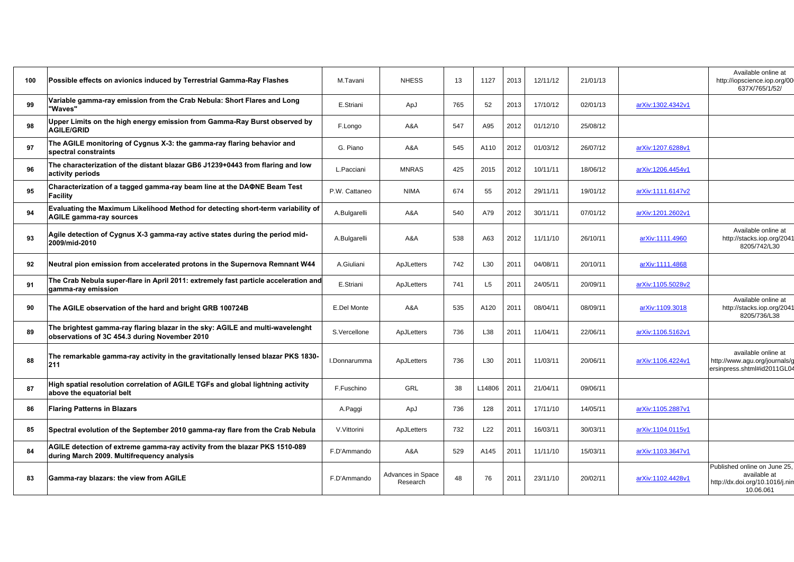| 100 | Possible effects on avionics induced by Terrestrial Gamma-Ray Flashes                                                          | M.Tavani      | <b>NHESS</b>                  | 13  | 1127           | 2013 | 12/11/12 | 21/01/13 |                   | Available online at<br>http://iopscience.iop.org/00<br>637X/765/1/52/                        |
|-----|--------------------------------------------------------------------------------------------------------------------------------|---------------|-------------------------------|-----|----------------|------|----------|----------|-------------------|----------------------------------------------------------------------------------------------|
| 99  | Variable gamma-ray emission from the Crab Nebula: Short Flares and Long<br>'Waves"                                             | E.Striani     | ApJ                           | 765 | 52             | 2013 | 17/10/12 | 02/01/13 | arXiv:1302.4342v1 |                                                                                              |
| 98  | Upper Limits on the high energy emission from Gamma-Ray Burst observed by<br><b>AGILE/GRID</b>                                 | F.Longo       | A&A                           | 547 | A95            | 2012 | 01/12/10 | 25/08/12 |                   |                                                                                              |
| 97  | The AGILE monitoring of Cygnus X-3: the gamma-ray flaring behavior and<br>spectral constraints                                 | G. Piano      | A&A                           | 545 | A110           | 2012 | 01/03/12 | 26/07/12 | arXiv:1207.6288v1 |                                                                                              |
| 96  | The characterization of the distant blazar GB6 J1239+0443 from flaring and low<br>activity periods                             | L.Pacciani    | <b>MNRAS</b>                  | 425 | 2015           | 2012 | 10/11/11 | 18/06/12 | arXiv:1206.4454v1 |                                                                                              |
| 95  | Characterization of a tagged gamma-ray beam line at the DAΦNE Beam Test<br>Facility                                            | P.W. Cattaneo | <b>NIMA</b>                   | 674 | 55             | 2012 | 29/11/11 | 19/01/12 | arXiv:1111.6147v2 |                                                                                              |
| 94  | Evaluating the Maximum Likelihood Method for detecting short-term variability of<br><b>AGILE gamma-ray sources</b>             | A.Bulgarelli  | A&A                           | 540 | A79            | 2012 | 30/11/11 | 07/01/12 | arXiv:1201.2602v1 |                                                                                              |
| 93  | Agile detection of Cygnus X-3 gamma-ray active states during the period mid-<br>2009/mid-2010                                  | A.Bulgarelli  | A&A                           | 538 | A63            | 2012 | 11/11/10 | 26/10/11 | arXiv:1111.4960   | Available online at<br>http://stacks.iop.org/2041<br>8205/742/L30                            |
| 92  | Neutral pion emission from accelerated protons in the Supernova Remnant W44                                                    | A.Giuliani    | ApJLetters                    | 742 | L30            | 2011 | 04/08/11 | 20/10/11 | arXiv:1111.4868   |                                                                                              |
| 91  | The Crab Nebula super-flare in April 2011: extremely fast particle acceleration and<br>gamma-ray emission                      | E.Striani     | ApJLetters                    | 741 | L <sub>5</sub> | 2011 | 24/05/11 | 20/09/11 | arXiv:1105.5028v2 |                                                                                              |
| 90  | The AGILE observation of the hard and bright GRB 100724B                                                                       | E.Del Monte   | A&A                           | 535 | A120           | 2011 | 08/04/11 | 08/09/11 | arXiv:1109.3018   | Available online at<br>http://stacks.iop.org/2041<br>8205/736/L38                            |
| 89  | The brightest gamma-ray flaring blazar in the sky: AGILE and multi-wavelenght<br>observations of 3C 454.3 during November 2010 | S.Vercellone  | ApJLetters                    | 736 | L38            | 2011 | 11/04/11 | 22/06/11 | arXiv:1106.5162v1 |                                                                                              |
| 88  | The remarkable gamma-ray activity in the gravitationally lensed blazar PKS 1830-<br>211                                        | I.Donnarumma  | ApJLetters                    | 736 | L30            | 2011 | 11/03/11 | 20/06/11 | arXiv:1106.4224v1 | available online at<br>http://www.agu.org/journals/g<br>ersinpress.shtml#id2011GL04          |
| 87  | High spatial resolution correlation of AGILE TGFs and global lightning activity<br>above the equatorial belt                   | F.Fuschino    | <b>GRL</b>                    | 38  | L14806         | 2011 | 21/04/11 | 09/06/11 |                   |                                                                                              |
| 86  | <b>Flaring Patterns in Blazars</b>                                                                                             | A.Paggi       | ApJ                           | 736 | 128            | 2011 | 17/11/10 | 14/05/11 | arXiv:1105.2887v1 |                                                                                              |
| 85  | Spectral evolution of the September 2010 gamma-ray flare from the Crab Nebula                                                  | V.Vittorini   | ApJLetters                    | 732 | L22            | 2011 | 16/03/11 | 30/03/11 | arXiv:1104.0115v1 |                                                                                              |
| 84  | AGILE detection of extreme gamma-ray activity from the blazar PKS 1510-089<br>during March 2009. Multifrequency analysis       | F.D'Ammando   | A&A                           | 529 | A145           | 2011 | 11/11/10 | 15/03/11 | arXiv:1103.3647v1 |                                                                                              |
| 83  | Gamma-ray blazars: the view from AGILE                                                                                         | F.D'Ammando   | Advances in Space<br>Research | 48  | 76             | 2011 | 23/11/10 | 20/02/11 | arXiv:1102.4428v1 | Published online on June 25,<br>available at<br>http://dx.doi.org/10.1016/j.nin<br>10.06.061 |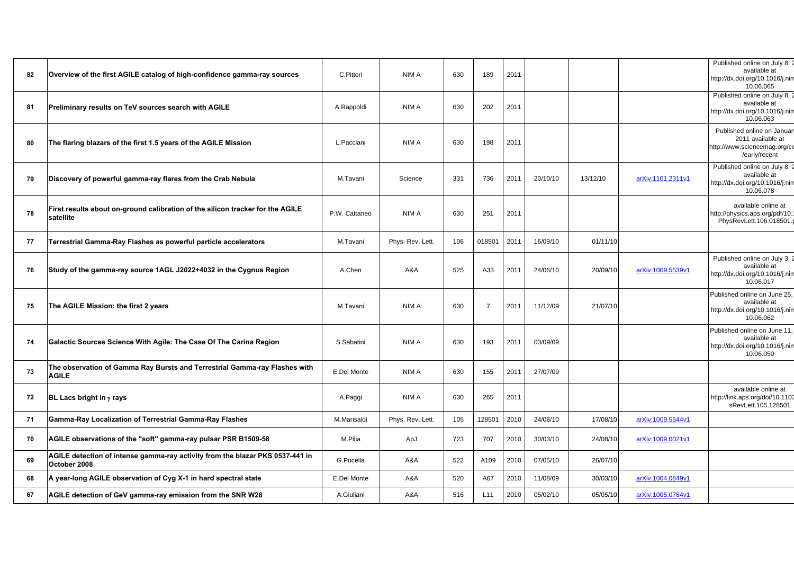| 82 | Overview of the first AGILE catalog of high-confidence gamma-ray sources                      | C.Pittori     | NIM A            | 630 | 189            | 2011 |          |          |                   | Published online on July 8, 2<br>available at<br>http://dx.doi.org/10.1016/j.nin<br>10.06.065    |
|----|-----------------------------------------------------------------------------------------------|---------------|------------------|-----|----------------|------|----------|----------|-------------------|--------------------------------------------------------------------------------------------------|
| 81 | Preliminary results on TeV sources search with AGILE                                          | A.Rappoldi    | NIM A            | 630 | 202            | 2011 |          |          |                   | Published online on July 8, 2<br>available at<br>http://dx.doi.org/10.1016/j.nim<br>10.06.063    |
| 80 | The flaring blazars of the first 1.5 years of the AGILE Mission                               | L.Pacciani    | NIM A            | 630 | 198            | 2011 |          |          |                   | Published online on Januar<br>2011 available at<br>http://www.sciencemag.org/cc<br>/early/recent |
| 79 | Discovery of powerful gamma-ray flares from the Crab Nebula                                   | M.Tavani      | Science          | 331 | 736            | 2011 | 20/10/10 | 13/12/10 | arXiv:1101.2311v1 | Published online on July 8, 2<br>available at<br>http://dx.doi.org/10.1016/j.nin<br>10.06.078    |
| 78 | First results about on-ground calibration of the silicon tracker for the AGILE<br>satellite   | P.W. Cattaneo | NIM A            | 630 | 251            | 2011 |          |          |                   | available online at<br>http://physics.aps.org/pdf/10.<br>PhysRevLett.106.018501.p                |
| 77 | Terrestrial Gamma-Ray Flashes as powerful particle accelerators                               | M.Tavani      | Phys. Rev. Lett. | 106 | 018501         | 2011 | 16/09/10 | 01/11/10 |                   |                                                                                                  |
| 76 | Study of the gamma-ray source 1AGL J2022+4032 in the Cygnus Region                            | A.Chen        | A&A              | 525 | A33            | 2011 | 24/06/10 | 20/09/10 | arXiv:1009.5539v1 | Published online on July 3, 2<br>available at<br>http://dx.doi.org/10.1016/j.nim<br>10.06.017    |
| 75 | The AGILE Mission: the first 2 years                                                          | M.Tavani      | NIM A            | 630 | $\overline{7}$ | 2011 | 11/12/09 | 21/07/10 |                   | Published online on June 25,<br>available at<br>http://dx.doi.org/10.1016/j.nin<br>10.06.062     |
| 74 | Galactic Sources Science With Agile: The Case Of The Carina Region                            | S.Sabatini    | NIM A            | 630 | 193            | 2011 | 03/09/09 |          |                   | Published online on June 11,<br>available at<br>http://dx.doi.org/10.1016/j.nin<br>10.06.050     |
| 73 | The observation of Gamma Ray Bursts and Terrestrial Gamma-ray Flashes with<br><b>AGILE</b>    | E.Del Monte   | NIM A            | 630 | 155            | 2011 | 27/07/09 |          |                   |                                                                                                  |
| 72 | <b>BL Lacs bright in <math>\gamma</math> rays</b>                                             | A.Paggi       | NIM A            | 630 | 265            | 2011 |          |          |                   | available online at<br>http://link.aps.org/doi/10.1103<br>sRevLett.105.128501                    |
| 71 | Gamma-Ray Localization of Terrestrial Gamma-Ray Flashes                                       | M.Marisaldi   | Phys. Rev. Lett. | 105 | 128501         | 2010 | 24/06/10 | 17/08/10 | arXiv:1009.5544v1 |                                                                                                  |
| 70 | AGILE observations of the "soft" gamma-ray pulsar PSR B1509-58                                | M.Pilia       | ApJ              | 723 | 707            | 2010 | 30/03/10 | 24/08/10 | arXiv:1009.0021v1 |                                                                                                  |
| 69 | AGILE detection of intense gamma-ray activity from the blazar PKS 0537-441 in<br>October 2008 | G.Pucella     | A&A              | 522 | A109           | 2010 | 07/05/10 | 26/07/10 |                   |                                                                                                  |
| 68 | A year-long AGILE observation of Cyg X-1 in hard spectral state                               | E.Del Monte   | A&A              | 520 | A67            | 2010 | 11/08/09 | 30/03/10 | arXiv:1004.0849v1 |                                                                                                  |
| 67 | AGILE detection of GeV gamma-ray emission from the SNR W28                                    | A.Giuliani    | A&A              | 516 | L11            | 2010 | 05/02/10 | 05/05/10 | arXiv:1005.0784v1 |                                                                                                  |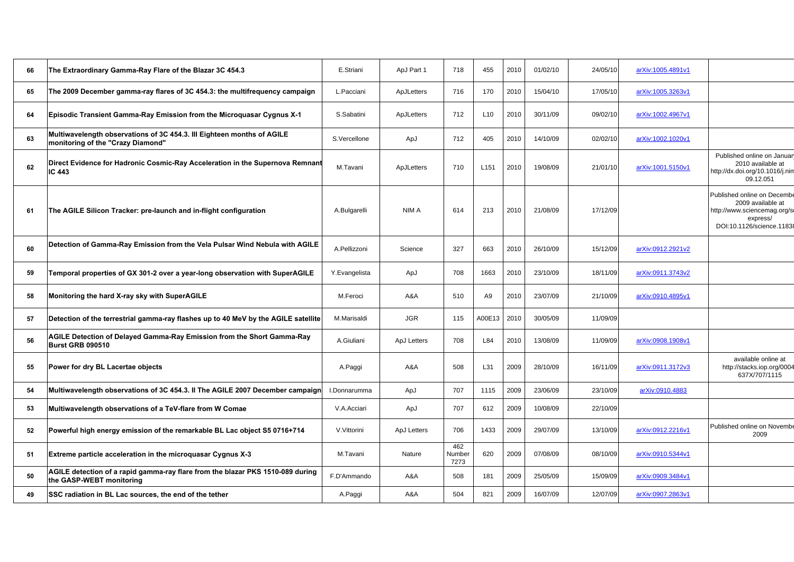| 66 | The Extraordinary Gamma-Ray Flare of the Blazar 3C 454.3                                                    | E.Striani     | ApJ Part 1  | 718                   | 455              | 2010 | 01/02/10 | 24/05/10 | arXiv:1005.4891v1 |                                                                                                                          |
|----|-------------------------------------------------------------------------------------------------------------|---------------|-------------|-----------------------|------------------|------|----------|----------|-------------------|--------------------------------------------------------------------------------------------------------------------------|
| 65 | The 2009 December gamma-ray flares of 3C 454.3: the multifrequency campaign                                 | L.Pacciani    | ApJLetters  | 716                   | 170              | 2010 | 15/04/10 | 17/05/10 | arXiv:1005.3263v1 |                                                                                                                          |
| 64 | <b>Episodic Transient Gamma-Ray Emission from the Microquasar Cygnus X-1</b>                                | S.Sabatini    | ApJLetters  | 712                   | L <sub>10</sub>  | 2010 | 30/11/09 | 09/02/10 | arXiv:1002.4967v1 |                                                                                                                          |
| 63 | Multiwavelength observations of 3C 454.3. III Eighteen months of AGILE<br>monitoring of the "Crazy Diamond" | S.Vercellone  | ApJ         | 712                   | 405              | 2010 | 14/10/09 | 02/02/10 | arXiv:1002.1020v1 |                                                                                                                          |
| 62 | Direct Evidence for Hadronic Cosmic-Ray Acceleration in the Supernova Remnant<br>IC 443                     | M.Tavani      | ApJLetters  | 710                   | L <sub>151</sub> | 2010 | 19/08/09 | 21/01/10 | arXiv:1001.5150v1 | Published online on Januar<br>2010 available at<br>http://dx.doi.org/10.1016/j.nin<br>09.12.051                          |
| 61 | The AGILE Silicon Tracker: pre-launch and in-flight configuration                                           | A.Bulgarelli  | NIM A       | 614                   | 213              | 2010 | 21/08/09 | 17/12/09 |                   | Published online on Decembe<br>2009 available at<br>http://www.sciencemag.org/s<br>express/<br>DOI:10.1126/science.11838 |
| 60 | Detection of Gamma-Ray Emission from the Vela Pulsar Wind Nebula with AGILE                                 | A.Pellizzoni  | Science     | 327                   | 663              | 2010 | 26/10/09 | 15/12/09 | arXiv:0912.2921v2 |                                                                                                                          |
| 59 | Temporal properties of GX 301-2 over a year-long observation with SuperAGILE                                | Y.Evangelista | ApJ         | 708                   | 1663             | 2010 | 23/10/09 | 18/11/09 | arXiv:0911.3743v2 |                                                                                                                          |
| 58 | Monitoring the hard X-ray sky with SuperAGILE                                                               | M.Feroci      | A&A         | 510                   | A9               | 2010 | 23/07/09 | 21/10/09 | arXiv:0910.4895v1 |                                                                                                                          |
| 57 | Detection of the terrestrial gamma-ray flashes up to 40 MeV by the AGILE satellite                          | M.Marisaldi   | <b>JGR</b>  | 115                   | A00E13           | 2010 | 30/05/09 | 11/09/09 |                   |                                                                                                                          |
| 56 | AGILE Detection of Delayed Gamma-Ray Emission from the Short Gamma-Ray<br>Burst GRB 090510                  | A.Giuliani    | ApJ Letters | 708                   | L84              | 2010 | 13/08/09 | 11/09/09 | arXiv:0908.1908v1 |                                                                                                                          |
| 55 | Power for dry BL Lacertae objects                                                                           | A.Paggi       | A&A         | 508                   | L31              | 2009 | 28/10/09 | 16/11/09 | arXiv:0911.3172v3 | available online at<br>http://stacks.iop.org/0004<br>637X/707/1115                                                       |
| 54 | Multiwavelength observations of 3C 454.3. II The AGILE 2007 December campaign                               | I.Donnarumma  | ApJ         | 707                   | 1115             | 2009 | 23/06/09 | 23/10/09 | arXiv:0910.4883   |                                                                                                                          |
| 53 | Multiwavelength observations of a TeV-flare from W Comae                                                    | V.A.Acciari   | ApJ         | 707                   | 612              | 2009 | 10/08/09 | 22/10/09 |                   |                                                                                                                          |
| 52 | Powerful high energy emission of the remarkable BL Lac object S5 0716+714                                   | V.Vittorini   | ApJ Letters | 706                   | 1433             | 2009 | 29/07/09 | 13/10/09 | arXiv:0912.2216v1 | Published online on Novembe<br>2009                                                                                      |
| 51 | Extreme particle acceleration in the microquasar Cygnus X-3                                                 | M.Tavani      | Nature      | 462<br>Number<br>7273 | 620              | 2009 | 07/08/09 | 08/10/09 | arXiv:0910.5344v1 |                                                                                                                          |
| 50 | AGILE detection of a rapid gamma-ray flare from the blazar PKS 1510-089 during<br>the GASP-WEBT monitoring  | F.D'Ammando   | A&A         | 508                   | 181              | 2009 | 25/05/09 | 15/09/09 | arXiv:0909.3484v1 |                                                                                                                          |
| 49 | SSC radiation in BL Lac sources, the end of the tether                                                      | A.Paggi       | A&A         | 504                   | 821              | 2009 | 16/07/09 | 12/07/09 | arXiv:0907.2863v1 |                                                                                                                          |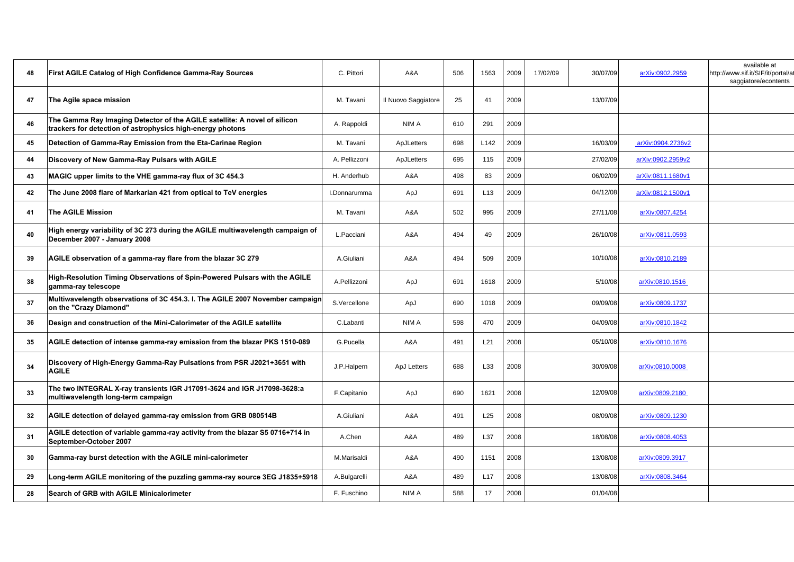| 48 | First AGILE Catalog of High Confidence Gamma-Ray Sources                                                                                | C. Pittori    | A&A                 | 506 | 1563 | 2009 | 17/02/09 | 30/07/09 | arXiv:0902.2959   | available at<br>http://www.sif.it/SIF/it/portal/at<br>saggiatore/econtents |
|----|-----------------------------------------------------------------------------------------------------------------------------------------|---------------|---------------------|-----|------|------|----------|----------|-------------------|----------------------------------------------------------------------------|
| 47 | The Agile space mission                                                                                                                 | M. Tavani     | Il Nuovo Saggiatore | 25  | 41   | 2009 |          | 13/07/09 |                   |                                                                            |
| 46 | The Gamma Ray Imaging Detector of the AGILE satellite: A novel of silicon<br>trackers for detection of astrophysics high-energy photons | A. Rappoldi   | NIM A               | 610 | 291  | 2009 |          |          |                   |                                                                            |
| 45 | Detection of Gamma-Ray Emission from the Eta-Carinae Region                                                                             | M. Tavani     | ApJLetters          | 698 | L142 | 2009 |          | 16/03/09 | arXiv:0904.2736v2 |                                                                            |
| 44 | Discovery of New Gamma-Ray Pulsars with AGILE                                                                                           | A. Pellizzoni | ApJLetters          | 695 | 115  | 2009 |          | 27/02/09 | arXiv:0902.2959v2 |                                                                            |
| 43 | MAGIC upper limits to the VHE gamma-ray flux of 3C 454.3                                                                                | H. Anderhub   | A&A                 | 498 | 83   | 2009 |          | 06/02/09 | arXiv:0811.1680v1 |                                                                            |
| 42 | The June 2008 flare of Markarian 421 from optical to TeV energies                                                                       | I.Donnarumma  | ApJ                 | 691 | L13  | 2009 |          | 04/12/08 | arXiv:0812.1500v1 |                                                                            |
| 41 | <b>The AGILE Mission</b>                                                                                                                | M. Tavani     | A&A                 | 502 | 995  | 2009 |          | 27/11/08 | arXiv:0807.4254   |                                                                            |
| 40 | High energy variability of 3C 273 during the AGILE multiwavelength campaign of<br>December 2007 - January 2008                          | L.Pacciani    | A&A                 | 494 | 49   | 2009 |          | 26/10/08 | arXiv:0811.0593   |                                                                            |
| 39 | AGILE observation of a gamma-ray flare from the blazar 3C 279                                                                           | A.Giuliani    | A&A                 | 494 | 509  | 2009 |          | 10/10/08 | arXiv:0810.2189   |                                                                            |
| 38 | High-Resolution Timing Observations of Spin-Powered Pulsars with the AGILE<br>gamma-ray telescope                                       | A.Pellizzoni  | ApJ                 | 691 | 1618 | 2009 |          | 5/10/08  | arXiv:0810.1516   |                                                                            |
| 37 | Multiwavelength observations of 3C 454.3. I. The AGILE 2007 November campaign<br>on the "Crazy Diamond"                                 | S.Vercellone  | ApJ                 | 690 | 1018 | 2009 |          | 09/09/08 | arXiv:0809.1737   |                                                                            |
| 36 | Design and construction of the Mini-Calorimeter of the AGILE satellite                                                                  | C.Labanti     | NIM A               | 598 | 470  | 2009 |          | 04/09/08 | arXiv:0810.1842   |                                                                            |
| 35 | AGILE detection of intense gamma-ray emission from the blazar PKS 1510-089                                                              | G.Pucella     | A&A                 | 491 | L21  | 2008 |          | 05/10/08 | arXiv:0810.1676   |                                                                            |
| 34 | Discovery of High-Energy Gamma-Ray Pulsations from PSR J2021+3651 with<br><b>AGILE</b>                                                  | J.P.Halpern   | ApJ Letters         | 688 | L33  | 2008 |          | 30/09/08 | arXiv:0810.0008   |                                                                            |
| 33 | The two INTEGRAL X-ray transients IGR J17091-3624 and IGR J17098-3628:a<br>multiwavelength long-term campaign                           | F.Capitanio   | ApJ                 | 690 | 1621 | 2008 |          | 12/09/08 | arXiv:0809.2180   |                                                                            |
| 32 | AGILE detection of delayed gamma-ray emission from GRB 080514B                                                                          | A.Giuliani    | A&A                 | 491 | L25  | 2008 |          | 08/09/08 | arXiv:0809.1230   |                                                                            |
| 31 | AGILE detection of variable gamma-ray activity from the blazar S5 0716+714 in<br>September-October 2007                                 | A.Chen        | A&A                 | 489 | L37  | 2008 |          | 18/08/08 | arXiv:0808.4053   |                                                                            |
| 30 | Gamma-ray burst detection with the AGILE mini-calorimeter                                                                               | M.Marisaldi   | A&A                 | 490 | 1151 | 2008 |          | 13/08/08 | arXiv:0809.3917   |                                                                            |
| 29 | Long-term AGILE monitoring of the puzzling gamma-ray source 3EG J1835+5918                                                              | A.Bulgarelli  | A&A                 | 489 | L17  | 2008 |          | 13/08/08 | arXiv:0808.3464   |                                                                            |
| 28 | Search of GRB with AGILE Minicalorimeter                                                                                                | F. Fuschino   | NIM A               | 588 | 17   | 2008 |          | 01/04/08 |                   |                                                                            |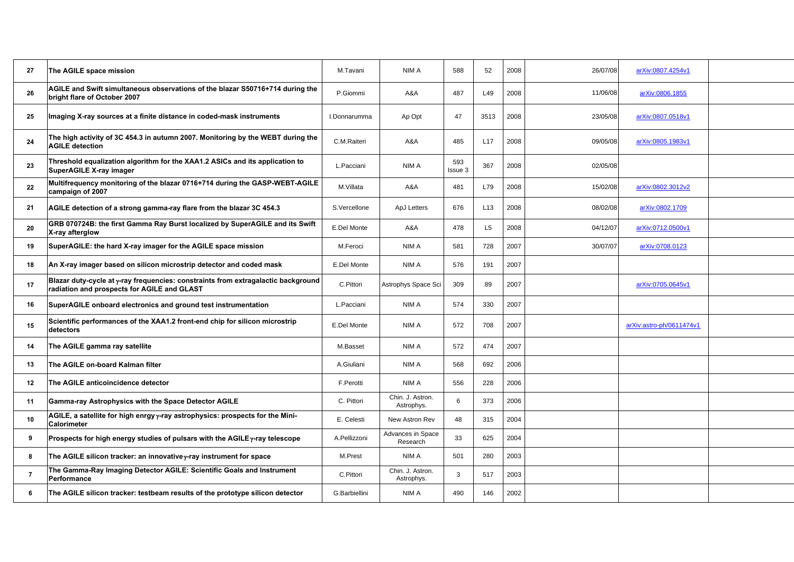| 27             | The AGILE space mission                                                                                                          | M.Tavani      | NIM A                          | 588            | 52             | 2008 | 26/07/08 | arXiv:0807.4254v1        |
|----------------|----------------------------------------------------------------------------------------------------------------------------------|---------------|--------------------------------|----------------|----------------|------|----------|--------------------------|
| 26             | AGILE and Swift simultaneous observations of the blazar S50716+714 during the<br>bright flare of October 2007                    | P.Giommi      | A&A                            | 487            | L49            | 2008 | 11/06/08 | arXiv:0806.1855          |
| 25             | Imaging X-ray sources at a finite distance in coded-mask instruments                                                             | I.Donnarumma  | Ap Opt                         | 47             | 3513           | 2008 | 23/05/08 | arXiv:0807.0518v1        |
| 24             | The high activity of 3C 454.3 in autumn 2007. Monitoring by the WEBT during the<br><b>AGILE detection</b>                        | C.M.Raiteri   | A&A                            | 485            | L17            | 2008 | 09/05/08 | arXiv:0805.1983v1        |
| 23             | Threshold equalization algorithm for the XAA1.2 ASICs and its application to<br>SuperAGILE X-ray imager                          | L.Pacciani    | NIM A                          | 593<br>Issue 3 | 367            | 2008 | 02/05/08 |                          |
| 22             | Multifrequency monitoring of the blazar 0716+714 during the GASP-WEBT-AGILE<br>campaign of 2007                                  | M.Villata     | A&A                            | 481            | L79            | 2008 | 15/02/08 | arXiv:0802.3012v2        |
| 21             | AGILE detection of a strong gamma-ray flare from the blazar 3C 454.3                                                             | S.Vercellone  | ApJ Letters                    | 676            | L13            | 2008 | 08/02/08 | arXiv:0802.1709          |
| 20             | GRB 070724B: the first Gamma Ray Burst localized by SuperAGILE and its Swift<br>X-ray afterglow                                  | E.Del Monte   | A&A                            | 478            | L <sub>5</sub> | 2008 | 04/12/07 | arXiv:0712.0500v1        |
| 19             | SuperAGILE: the hard X-ray imager for the AGILE space mission                                                                    | M.Feroci      | NIM A                          | 581            | 728            | 2007 | 30/07/07 | arXiv:0708.0123          |
| 18             | An X-ray imager based on silicon microstrip detector and coded mask                                                              | E.Del Monte   | NIM A                          | 576            | 191            | 2007 |          |                          |
| 17             | Blazar duty-cycle at y-ray frequencies: constraints from extragalactic background<br>radiation and prospects for AGILE and GLAST | C.Pittori     | Astrophys Space Sci            | 309            | 89             | 2007 |          | arXiv:0705.0645v1        |
| 16             | SuperAGILE onboard electronics and ground test instrumentation                                                                   | L.Pacciani    | NIM A                          | 574            | 330            | 2007 |          |                          |
| 15             | Scientific performances of the XAA1.2 front-end chip for silicon microstrip<br>detectors                                         | E.Del Monte   | NIM A                          | 572            | 708            | 2007 |          | arXiv:astro-ph/0611474v1 |
| 14             | The AGILE gamma ray satellite                                                                                                    | M.Basset      | NIM A                          | 572            | 474            | 2007 |          |                          |
| 13             | The AGILE on-board Kalman filter                                                                                                 | A.Giuliani    | NIM A                          | 568            | 692            | 2006 |          |                          |
| 12             | The AGILE anticoincidence detector                                                                                               | F.Perotti     | NIM A                          | 556            | 228            | 2006 |          |                          |
| 11             | Gamma-ray Astrophysics with the Space Detector AGILE                                                                             | C. Pittori    | Chin. J. Astron.<br>Astrophys. | 6              | 373            | 2006 |          |                          |
| 10             | AGILE, a satellite for high enrgy y-ray astrophysics: prospects for the Mini-<br><b>Calorimeter</b>                              | E. Celesti    | New Astron Rev                 | 48             | 315            | 2004 |          |                          |
| 9              | Prospects for high energy studies of pulsars with the AGILE $\gamma$ -ray telescope                                              | A.Pellizzoni  | Advances in Space<br>Research  | 33             | 625            | 2004 |          |                          |
| 8              | The AGILE silicon tracker: an innovativey-ray instrument for space                                                               | M.Prest       | NIM A                          | 501            | 280            | 2003 |          |                          |
| $\overline{7}$ | The Gamma-Ray Imaging Detector AGILE: Scientific Goals and Instrument<br>Performance                                             | C.Pittori     | Chin. J. Astron.<br>Astrophys. | 3              | 517            | 2003 |          |                          |
| 6              | The AGILE silicon tracker: testbeam results of the prototype silicon detector                                                    | G.Barbiellini | NIM A                          | 490            | 146            | 2002 |          |                          |